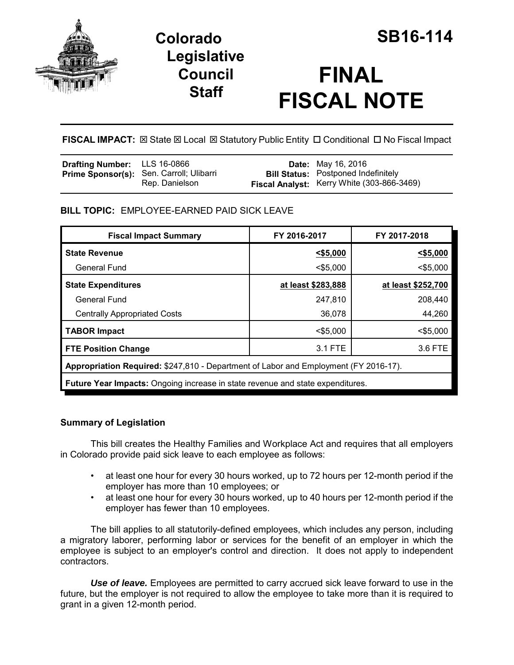

# **Colorado SB16-114 Legislative Council Staff**

# **FINAL FISCAL NOTE**

**FISCAL IMPACT:**  $\boxtimes$  **State**  $\boxtimes$  **Local**  $\boxtimes$  **Statutory Public Entity □ Conditional □ No Fiscal Impact** 

| <b>Drafting Number:</b> LLS 16-0866 |                                                            | <b>Date:</b> May 16, 2016                                                                |
|-------------------------------------|------------------------------------------------------------|------------------------------------------------------------------------------------------|
|                                     | Prime Sponsor(s): Sen. Carroll; Ulibarri<br>Rep. Danielson | <b>Bill Status:</b> Postponed Indefinitely<br>Fiscal Analyst: Kerry White (303-866-3469) |

## **BILL TOPIC:** EMPLOYEE-EARNED PAID SICK LEAVE

| <b>Fiscal Impact Summary</b>                                                         | FY 2016-2017       | FY 2017-2018       |  |  |  |
|--------------------------------------------------------------------------------------|--------------------|--------------------|--|--|--|
| <b>State Revenue</b>                                                                 | $<$ \$5,000        | $<$ \$5,000        |  |  |  |
| General Fund                                                                         | $<$ \$5.000        | $<$ \$5.000        |  |  |  |
| <b>State Expenditures</b>                                                            | at least \$283,888 | at least \$252,700 |  |  |  |
| <b>General Fund</b>                                                                  | 247,810            | 208,440            |  |  |  |
| <b>Centrally Appropriated Costs</b>                                                  | 36,078             | 44,260             |  |  |  |
| <b>TABOR Impact</b>                                                                  | $<$ \$5,000        | $<$ \$5,000        |  |  |  |
| <b>FTE Position Change</b>                                                           | 3.1 FTE            | 3.6 FTE            |  |  |  |
| Appropriation Required: \$247,810 - Department of Labor and Employment (FY 2016-17). |                    |                    |  |  |  |
| Future Year Impacts: Ongoing increase in state revenue and state expenditures.       |                    |                    |  |  |  |
|                                                                                      |                    |                    |  |  |  |

### **Summary of Legislation**

This bill creates the Healthy Families and Workplace Act and requires that all employers in Colorado provide paid sick leave to each employee as follows:

- at least one hour for every 30 hours worked, up to 72 hours per 12-month period if the employer has more than 10 employees; or
- at least one hour for every 30 hours worked, up to 40 hours per 12-month period if the employer has fewer than 10 employees.

The bill applies to all statutorily-defined employees, which includes any person, including a migratory laborer, performing labor or services for the benefit of an employer in which the employee is subject to an employer's control and direction. It does not apply to independent contractors.

*Use of leave.* Employees are permitted to carry accrued sick leave forward to use in the future, but the employer is not required to allow the employee to take more than it is required to grant in a given 12-month period.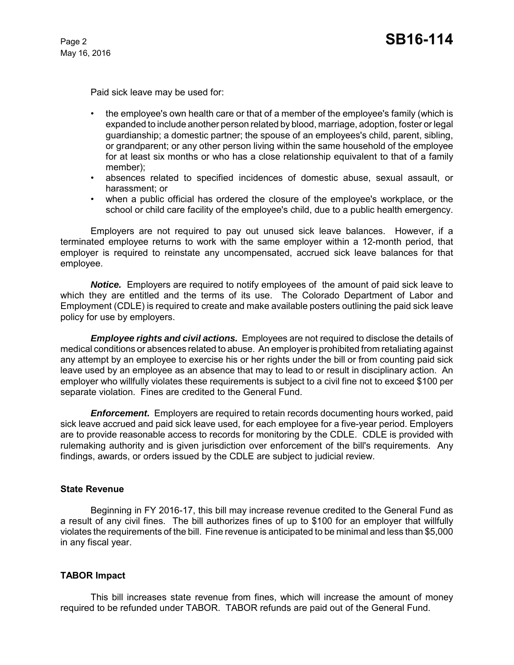May 16, 2016

Paid sick leave may be used for:

- the employee's own health care or that of a member of the employee's family (which is expanded to include another person related by blood, marriage, adoption, foster or legal guardianship; a domestic partner; the spouse of an employees's child, parent, sibling, or grandparent; or any other person living within the same household of the employee for at least six months or who has a close relationship equivalent to that of a family member);
- absences related to specified incidences of domestic abuse, sexual assault, or harassment; or
- when a public official has ordered the closure of the employee's workplace, or the school or child care facility of the employee's child, due to a public health emergency.

Employers are not required to pay out unused sick leave balances. However, if a terminated employee returns to work with the same employer within a 12-month period, that employer is required to reinstate any uncompensated, accrued sick leave balances for that employee.

*Notice.* Employers are required to notify employees of the amount of paid sick leave to which they are entitled and the terms of its use. The Colorado Department of Labor and Employment (CDLE) is required to create and make available posters outlining the paid sick leave policy for use by employers.

*Employee rights and civil actions.* Employees are not required to disclose the details of medical conditions or absences related to abuse. An employer is prohibited from retaliating against any attempt by an employee to exercise his or her rights under the bill or from counting paid sick leave used by an employee as an absence that may to lead to or result in disciplinary action. An employer who willfully violates these requirements is subject to a civil fine not to exceed \$100 per separate violation. Fines are credited to the General Fund.

*Enforcement.* Employers are required to retain records documenting hours worked, paid sick leave accrued and paid sick leave used, for each employee for a five-year period. Employers are to provide reasonable access to records for monitoring by the CDLE. CDLE is provided with rulemaking authority and is given jurisdiction over enforcement of the bill's requirements. Any findings, awards, or orders issued by the CDLE are subject to judicial review.

#### **State Revenue**

Beginning in FY 2016-17, this bill may increase revenue credited to the General Fund as a result of any civil fines. The bill authorizes fines of up to \$100 for an employer that willfully violates the requirements of the bill. Fine revenue is anticipated to be minimal and less than \$5,000 in any fiscal year.

#### **TABOR Impact**

This bill increases state revenue from fines, which will increase the amount of money required to be refunded under TABOR. TABOR refunds are paid out of the General Fund.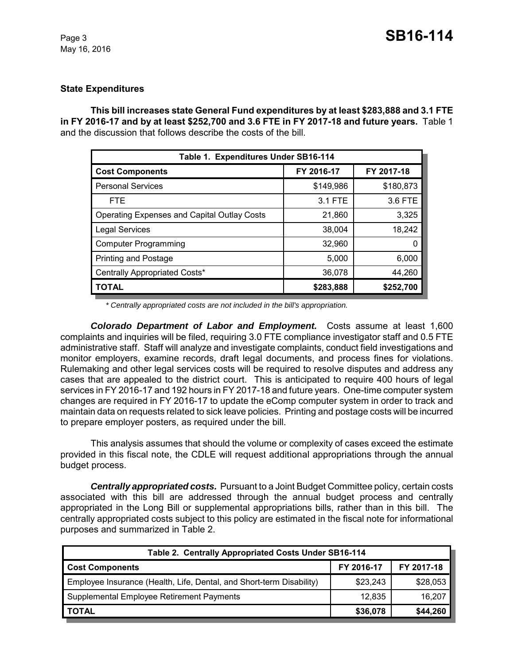#### **State Expenditures**

**This bill increases state General Fund expenditures by at least \$283,888 and 3.1 FTE in FY 2016-17 and by at least \$252,700 and 3.6 FTE in FY 2017-18 and future years.** Table 1 and the discussion that follows describe the costs of the bill.

| Table 1. Expenditures Under SB16-114               |            |            |  |  |  |
|----------------------------------------------------|------------|------------|--|--|--|
| <b>Cost Components</b>                             | FY 2016-17 | FY 2017-18 |  |  |  |
| <b>Personal Services</b>                           | \$149,986  | \$180,873  |  |  |  |
| <b>FTE</b>                                         | 3.1 FTE    | 3.6 FTE    |  |  |  |
| <b>Operating Expenses and Capital Outlay Costs</b> | 21,860     | 3,325      |  |  |  |
| <b>Legal Services</b>                              | 38,004     | 18,242     |  |  |  |
| <b>Computer Programming</b>                        | 32,960     | $\Omega$   |  |  |  |
| <b>Printing and Postage</b>                        | 5,000      | 6,000      |  |  |  |
| Centrally Appropriated Costs*                      | 36,078     | 44,260     |  |  |  |
| <b>TOTAL</b>                                       | \$283,888  | \$252,700  |  |  |  |

*\* Centrally appropriated costs are not included in the bill's appropriation.*

*Colorado Department of Labor and Employment.* Costs assume at least 1,600 complaints and inquiries will be filed, requiring 3.0 FTE compliance investigator staff and 0.5 FTE administrative staff. Staff will analyze and investigate complaints, conduct field investigations and monitor employers, examine records, draft legal documents, and process fines for violations. Rulemaking and other legal services costs will be required to resolve disputes and address any cases that are appealed to the district court. This is anticipated to require 400 hours of legal services in FY 2016-17 and 192 hours in FY 2017-18 and future years. One-time computer system changes are required in FY 2016-17 to update the eComp computer system in order to track and maintain data on requests related to sick leave policies. Printing and postage costs will be incurred to prepare employer posters, as required under the bill.

This analysis assumes that should the volume or complexity of cases exceed the estimate provided in this fiscal note, the CDLE will request additional appropriations through the annual budget process.

*Centrally appropriated costs.* Pursuant to a Joint Budget Committee policy, certain costs associated with this bill are addressed through the annual budget process and centrally appropriated in the Long Bill or supplemental appropriations bills, rather than in this bill. The centrally appropriated costs subject to this policy are estimated in the fiscal note for informational purposes and summarized in Table 2.

| Table 2. Centrally Appropriated Costs Under SB16-114                 |            |            |  |  |  |
|----------------------------------------------------------------------|------------|------------|--|--|--|
| <b>Cost Components</b>                                               | FY 2016-17 | FY 2017-18 |  |  |  |
| Employee Insurance (Health, Life, Dental, and Short-term Disability) | \$23,243   | \$28,053   |  |  |  |
| Supplemental Employee Retirement Payments                            | 12,835     | 16,207     |  |  |  |
| <b>TOTAL</b>                                                         | \$36,078   | \$44,260   |  |  |  |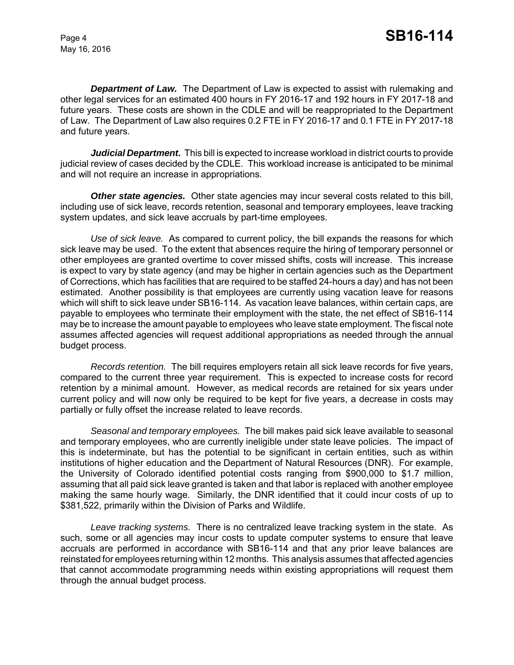May 16, 2016

*Department of Law.* The Department of Law is expected to assist with rulemaking and other legal services for an estimated 400 hours in FY 2016-17 and 192 hours in FY 2017-18 and future years. These costs are shown in the CDLE and will be reappropriated to the Department of Law. The Department of Law also requires 0.2 FTE in FY 2016-17 and 0.1 FTE in FY 2017-18 and future years.

*Judicial Department.* This bill is expected to increase workload in district courts to provide judicial review of cases decided by the CDLE. This workload increase is anticipated to be minimal and will not require an increase in appropriations.

**Other state agencies.** Other state agencies may incur several costs related to this bill, including use of sick leave, records retention, seasonal and temporary employees, leave tracking system updates, and sick leave accruals by part-time employees.

*Use of sick leave.* As compared to current policy, the bill expands the reasons for which sick leave may be used. To the extent that absences require the hiring of temporary personnel or other employees are granted overtime to cover missed shifts, costs will increase. This increase is expect to vary by state agency (and may be higher in certain agencies such as the Department of Corrections, which has facilities that are required to be staffed 24-hours a day) and has not been estimated. Another possibility is that employees are currently using vacation leave for reasons which will shift to sick leave under SB16-114. As vacation leave balances, within certain caps, are payable to employees who terminate their employment with the state, the net effect of SB16-114 may be to increase the amount payable to employees who leave state employment. The fiscal note assumes affected agencies will request additional appropriations as needed through the annual budget process.

*Records retention.* The bill requires employers retain all sick leave records for five years, compared to the current three year requirement. This is expected to increase costs for record retention by a minimal amount. However, as medical records are retained for six years under current policy and will now only be required to be kept for five years, a decrease in costs may partially or fully offset the increase related to leave records.

*Seasonal and temporary employees.* The bill makes paid sick leave available to seasonal and temporary employees, who are currently ineligible under state leave policies. The impact of this is indeterminate, but has the potential to be significant in certain entities, such as within institutions of higher education and the Department of Natural Resources (DNR). For example, the University of Colorado identified potential costs ranging from \$900,000 to \$1.7 million, assuming that all paid sick leave granted is taken and that labor is replaced with another employee making the same hourly wage. Similarly, the DNR identified that it could incur costs of up to \$381,522, primarily within the Division of Parks and Wildlife.

*Leave tracking systems.* There is no centralized leave tracking system in the state. As such, some or all agencies may incur costs to update computer systems to ensure that leave accruals are performed in accordance with SB16-114 and that any prior leave balances are reinstated for employees returning within 12 months. This analysis assumes that affected agencies that cannot accommodate programming needs within existing appropriations will request them through the annual budget process.